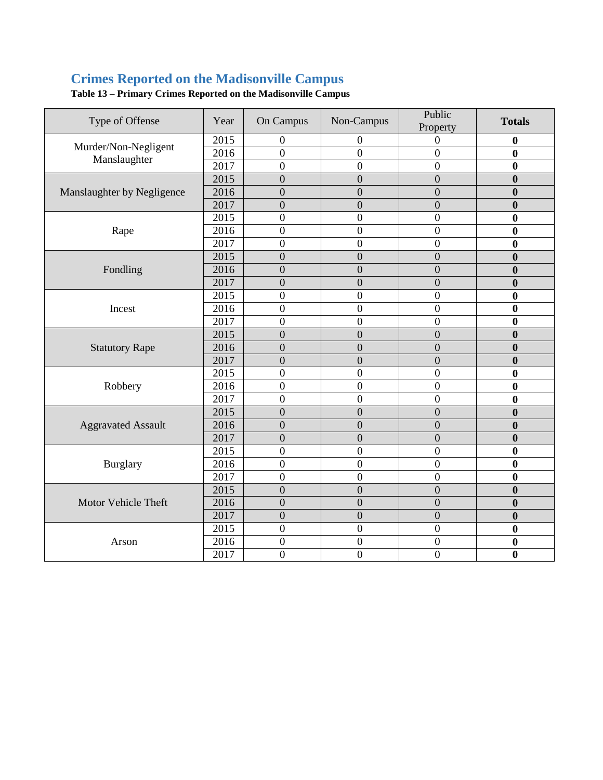## **Crimes Reported on the Madisonville Campus**

| Type of Offense                      | Year | On Campus        | Non-Campus       | Public<br>Property | <b>Totals</b>    |
|--------------------------------------|------|------------------|------------------|--------------------|------------------|
| Murder/Non-Negligent<br>Manslaughter | 2015 | $\mathbf{0}$     | 0                | 0                  | $\bf{0}$         |
|                                      | 2016 | $\mathbf{0}$     | $\overline{0}$   | $\boldsymbol{0}$   | $\bf{0}$         |
|                                      | 2017 | $\overline{0}$   | $\overline{0}$   | $\overline{0}$     | $\bf{0}$         |
|                                      | 2015 | $\overline{0}$   | $\overline{0}$   | $\overline{0}$     | $\bf{0}$         |
| Manslaughter by Negligence           | 2016 | $\overline{0}$   | $\boldsymbol{0}$ | $\overline{0}$     | $\bf{0}$         |
|                                      | 2017 | $\overline{0}$   | $\overline{0}$   | $\overline{0}$     | $\mathbf{0}$     |
|                                      | 2015 | $\mathbf{0}$     | $\boldsymbol{0}$ | $\boldsymbol{0}$   | $\bf{0}$         |
| Rape                                 | 2016 | $\mathbf{0}$     | $\boldsymbol{0}$ | $\overline{0}$     | $\bf{0}$         |
|                                      | 2017 | $\mathbf{0}$     | $\boldsymbol{0}$ | $\boldsymbol{0}$   | $\boldsymbol{0}$ |
|                                      | 2015 | $\overline{0}$   | $\overline{0}$   | $\overline{0}$     | $\boldsymbol{0}$ |
| Fondling                             | 2016 | $\overline{0}$   | $\overline{0}$   | $\overline{0}$     | $\bf{0}$         |
|                                      | 2017 | $\overline{0}$   | $\overline{0}$   | $\overline{0}$     | $\bf{0}$         |
|                                      | 2015 | $\overline{0}$   | $\boldsymbol{0}$ | $\overline{0}$     | $\boldsymbol{0}$ |
| Incest                               | 2016 | $\overline{0}$   | $\boldsymbol{0}$ | $\boldsymbol{0}$   | $\mathbf{0}$     |
|                                      | 2017 | $\mathbf{0}$     | $\boldsymbol{0}$ | $\boldsymbol{0}$   | $\bf{0}$         |
|                                      | 2015 | $\overline{0}$   | $\boldsymbol{0}$ | $\overline{0}$     | $\bf{0}$         |
| <b>Statutory Rape</b>                | 2016 | $\overline{0}$   | $\overline{0}$   | $\overline{0}$     | $\mathbf{0}$     |
|                                      | 2017 | $\overline{0}$   | $\overline{0}$   | $\overline{0}$     | $\bf{0}$         |
|                                      | 2015 | $\overline{0}$   | $\boldsymbol{0}$ | $\overline{0}$     | $\bf{0}$         |
| Robbery                              | 2016 | $\overline{0}$   | $\boldsymbol{0}$ | $\overline{0}$     | $\bf{0}$         |
|                                      | 2017 | $\overline{0}$   | $\overline{0}$   | $\overline{0}$     | $\bf{0}$         |
| <b>Aggravated Assault</b>            | 2015 | $\overline{0}$   | $\boldsymbol{0}$ | $\overline{0}$     | $\bf{0}$         |
|                                      | 2016 | $\overline{0}$   | $\boldsymbol{0}$ | $\overline{0}$     | $\bf{0}$         |
|                                      | 2017 | $\boldsymbol{0}$ | $\boldsymbol{0}$ | $\boldsymbol{0}$   | $\boldsymbol{0}$ |
| Burglary                             | 2015 | $\overline{0}$   | $\overline{0}$   | $\boldsymbol{0}$   | $\bf{0}$         |
|                                      | 2016 | $\mathbf{0}$     | $\overline{0}$   | $\overline{0}$     | $\bf{0}$         |
|                                      | 2017 | $\mathbf{0}$     | $\boldsymbol{0}$ | $\mathbf{0}$       | $\bf{0}$         |
| Motor Vehicle Theft                  | 2015 | $\overline{0}$   | $\boldsymbol{0}$ | $\boldsymbol{0}$   | $\boldsymbol{0}$ |
|                                      | 2016 | $\overline{0}$   | $\overline{0}$   | $\overline{0}$     | $\mathbf{0}$     |
|                                      | 2017 | $\overline{0}$   | $\overline{0}$   | $\overline{0}$     | $\boldsymbol{0}$ |
| Arson                                | 2015 | $\overline{0}$   | $\boldsymbol{0}$ | $\overline{0}$     | $\boldsymbol{0}$ |
|                                      | 2016 | $\mathbf{0}$     | $\boldsymbol{0}$ | $\boldsymbol{0}$   | $\mathbf{0}$     |
|                                      | 2017 | $\mathbf{0}$     | $\overline{0}$   | $\boldsymbol{0}$   | $\bf{0}$         |

**Table 13 – Primary Crimes Reported on the Madisonville Campus**